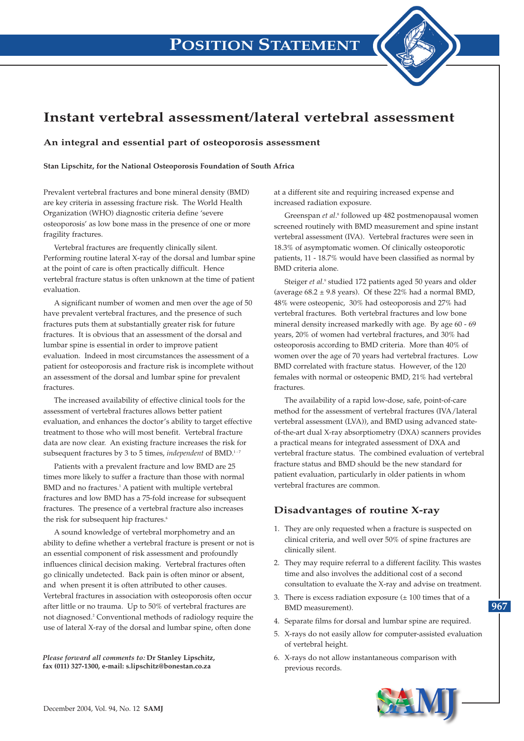# **Instant vertebral assessment/lateral vertebral assessment**

#### **An integral and essential part of osteoporosis assessment**

**Stan Lipschitz, for the National Osteoporosis Foundation of South Africa**

Prevalent vertebral fractures and bone mineral density (BMD) are key criteria in assessing fracture risk. The World Health Organization (WHO) diagnostic criteria define 'severe osteoporosis' as low bone mass in the presence of one or more fragility fractures.

Vertebral fractures are frequently clinically silent. Performing routine lateral X-ray of the dorsal and lumbar spine at the point of care is often practically difficult. Hence vertebral fracture status is often unknown at the time of patient evaluation.

A significant number of women and men over the age of 50 have prevalent vertebral fractures, and the presence of such fractures puts them at substantially greater risk for future fractures. It is obvious that an assessment of the dorsal and lumbar spine is essential in order to improve patient evaluation. Indeed in most circumstances the assessment of a patient for osteoporosis and fracture risk is incomplete without an assessment of the dorsal and lumbar spine for prevalent fractures.

The increased availability of effective clinical tools for the assessment of vertebral fractures allows better patient evaluation, and enhances the doctor's ability to target effective treatment to those who will most benefit. Vertebral fracture data are now clear. An existing fracture increases the risk for subsequent fractures by 3 to 5 times, *independent* of BMD.<sup>1-7</sup>

Patients with a prevalent fracture and low BMD are 25 times more likely to suffer a fracture than those with normal BMD and no fractures.<sup>1</sup> A patient with multiple vertebral fractures and low BMD has a 75-fold increase for subsequent fractures. The presence of a vertebral fracture also increases the risk for subsequent hip fractures.<sup>6</sup>

A sound knowledge of vertebral morphometry and an ability to define whether a vertebral fracture is present or not is an essential component of risk assessment and profoundly influences clinical decision making. Vertebral fractures often go clinically undetected. Back pain is often minor or absent, and when present it is often attributed to other causes. Vertebral fractures in association with osteoporosis often occur after little or no trauma. Up to 50% of vertebral fractures are not diagnosed.2 Conventional methods of radiology require the use of lateral X-ray of the dorsal and lumbar spine, often done

*Please forward all comments to:* **Dr Stanley Lipschitz, fax (011) 327-1300, e-mail: s.lipschitz@bonestan.co.za**

at a different site and requiring increased expense and increased radiation exposure.

Greenspan *et al*. <sup>8</sup> followed up 482 postmenopausal women screened routinely with BMD measurement and spine instant vertebral assessment (IVA). Vertebral fractures were seen in 18.3% of asymptomatic women. Of clinically osteoporotic patients, 11 - 18.7% would have been classified as normal by BMD criteria alone.

Steiger *et al.*<sup>9</sup> studied 172 patients aged 50 years and older (average  $68.2 \pm 9.8$  years). Of these 22% had a normal BMD, 48% were osteopenic, 30% had osteoporosis and 27% had vertebral fractures. Both vertebral fractures and low bone mineral density increased markedly with age. By age 60 - 69 years, 20% of women had vertebral fractures, and 30% had osteoporosis according to BMD criteria. More than 40% of women over the age of 70 years had vertebral fractures. Low BMD correlated with fracture status. However, of the 120 females with normal or osteopenic BMD, 21% had vertebral fractures.

The availability of a rapid low-dose, safe, point-of-care method for the assessment of vertebral fractures (IVA/lateral vertebral assessment (LVA)), and BMD using advanced stateof-the-art dual X-ray absorptiometry (DXA) scanners provides a practical means for integrated assessment of DXA and vertebral fracture status. The combined evaluation of vertebral fracture status and BMD should be the new standard for patient evaluation, particularly in older patients in whom vertebral fractures are common.

#### **Disadvantages of routine X-ray**

- 1. They are only requested when a fracture is suspected on clinical criteria, and well over 50% of spine fractures are clinically silent.
- 2. They may require referral to a different facility. This wastes time and also involves the additional cost of a second consultation to evaluate the X-ray and advise on treatment.
- 3. There is excess radiation exposure  $(\pm 100)$  times that of a BMD measurement).
- 4. Separate films for dorsal and lumbar spine are required.
- 5. X-rays do not easily allow for computer-assisted evaluation of vertebral height.
- 6. X-rays do not allow instantaneous comparison with previous records.



**967**